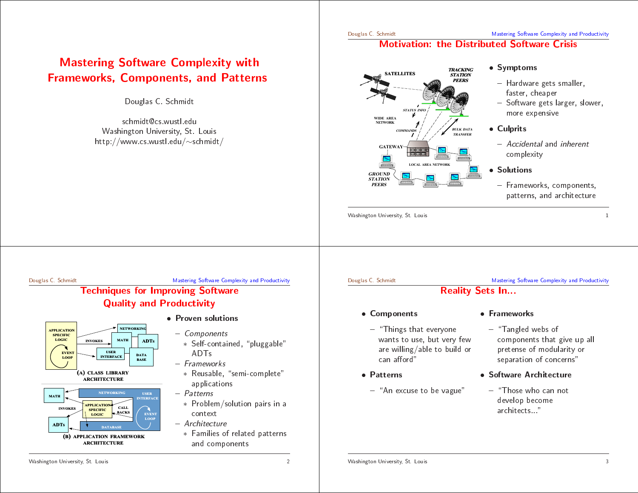# **Mastering Software Complexity with g Software Complexity with**<br> **s, Components, and Patterr**<br>
Douglas C. Schmidt<br>
schmidt@cs.wustl.edu<br>
/ashington University, St. Louis<br>
Dieter Component Content (Ashington University, St. Louis<br>
Dieter Component Content (A **d Patterns**<br>iis<br>idt/

Douglas C. Schmidt

Frameworks, Components, and<br>Douglas C. Schmidt<br>schmidt@cs.wustl.edu<br>Washington University, St. Louis<br>http://www.cs.wustl.edu/~schmid s C. Schmidt<br>@cs.wustl.edu<br>Jniversity, St.<br>wustl.edu/~s schmidt@cs.wustl.eduWashingtonn University, St. Louis<br>cs.wustl.edu/~schmid<br> $\sim$ <code>http://www.cs</code> wustl.edu/ $\sim$ schmidt/

### Mastering Software Complexity and Productivity



#### • Symptoms

- Hardware gets smaller,
- faster cheaper
- **d Software Crisis**<br>Symptoms<br>- Hardware gets smalle<br>faster, cheaper<br>- Software gets larger,<br>more expensive<br>Culprits • Symptoms<br>
– Hardware<br>
faster, ch<br>
– Software<br>
more exp<br>
• Culprits , cheaper<br>are gets l<br>expensive<br>; - Software gets larger, slower,<br>more expensive<br>**Culprits**<br>- *Accidental* and *inherent*<br>complexity<br>**Solutions** more expensive
- Culprits
- Hardware gets smaller,<br>faster, cheaper<br>- Software gets larger, sl<br>more expensive<br>**Culprits**<br>- *Accidental* and *inherer*<br>complexity  $=$   $\Lambda$ ccidental and e expensive<br>**ts**<br>*idental* and<br>plexity<br>**ons** • Culprits<br>- *Accid*<br>compl<br>• Solutior<br>- Frame<br>patter complexity
- Solutions
- *Accidental* and *inherent*<br>complexity<br>**Solutions**<br>- Frameworks, component<br>patterns, and architectu • Solutions<br>- Framew<br>pattern<br>-- Frameworks, components, - Frameworks, components,<br>patterns, and architecture<br> $\frac{1}{2}$ patterns, andarchitecture

Washington University, St. Louis n University, St. Louis 1<br>1<br>1

#### Douglas C. Schmidt

d Productivity<br>Productivity<br>Production

# Mastering Software Complexity and<br>
Techniques for Improving Software<br>
Quality and Productivity<br>
• Proven solutions Techniques**g Software**<br> **ctivity**<br>
ven solutions<br>
Self-contained<br>
ADTs<br>
rameworks<br>
Reusable, "se<br>
annlications Quality





- Proven solutions
- Proven<br>- Com<sub>i</sub><br>- Sel<br>- Fram<br>- Re<br>- Re - Components
- **n solutions**<br>*nponents*<br>elf-containee<br>DTs<br>meworks<br>eusable, "se<br>pplications<br>*terns* ∗ ADTs
	- Frameworks
		- \* Reusable, "semi-complete" applications
- Components<br>
\* Self-contai<br>
ADTs<br>
 *Frameworks*<br>
\* Reusable,<br>
application<br>
 *Patterns*<br>
\* Problem/s \* Self-contained, "pluggable"<br>ADTs<br>Frameworks<br>\* Reusable, "semi-complete"<br>applications<br>Patterns<br>\* Problem/solution pairs in a<br>context context- Frameworks<br>
\* Reusable,<br>
applicatio<br>
- Patterns<br>
\* Problem/<br>
context<br>
- Architecture<br>
\* Families<br>
\* Tamilies \* Reusable, "semi-complete"<br>
applications<br>
Pa*tterns*<br>
\* Problem/solution pairs in<br>
context<br>
Architecture<br>
\* Families of related pattern<br>
and components - Patterns - *Patterns*<br>\* Proble<br>contex<br>- *Architec*<br>\* Familie<br>and cc ∗
- Architecture
- and compo \* Problem/solution pairs in a<br>context<br>Architecture<br>\* Families of related patterns<br>and components  $-$  *Architecture*<br> $*$  Families o<br>and compo ∗ Families of related patterns components

### Douglas C. Schmidt

Douglas C. Schmidt

# g Software Complexity and<br>•<br>WOTKS<br>• anded webs of d Productivity<br>Productivity<br>Production

### Mastering Mastering<br> **Reality Sets In...**<br> **Components** • Framev • Components

• Components<br>
– "Things thi<br>
wants to us<br>
are willing/<br>
can afford"<br>
• Patterns - "Things that everyone - "Things that everyone<br>wants to use, but very<br>are willing/able to bui<br>can afford"<br>**Patterns**<br>- "An excuse to be vagu wants to use, but very few s to use, but very few<br>
illing/able to build or<br>
afford"<br> **ns**<br>
excuse to be vague" aree willing/able to build<br>n afford"<br>**erns**<br>An excuse to be vague d or<br>e" can afford"

Reality

- Patterns • Patterns<br>- "An ex
- n afford"<br>**erns**<br>\n excuse — "An excuse to be vague"<br>on University, St. Louis
- Frameworks
- y Sets In...<br>Framev<br>- "Tan<br>w comp<br>prete<br>separ<br>Re Softwal • Frameworks<br>
– "Tangled v<br>
componen<br>
pretense o<br>
separation<br>
• Software Ar \_ - "Tangled webs of<br>components that<br>pretense of modu<br>separation of cone<br>**Software Architect**<br>- "Those who can develop become components that give up all s that give up<br>modularity or<br>of concerns"<br>**chitecture**<br>o can not<br>come p all<br>pr<br> pretensey or<br>s"<br>: separation
	- Software Architecture
	- e of modularity<br>ion of concerns<br>**Architecture**<br>who can not<br>become<br>cts..." n of concerns"<br>**\rchitecture**<br>who can not<br>pecome<br>s..." • Software<br>- "Those<br>develop<br>archite<br>archite e Architecture<br>se who can not<br>pp become<br>ects..." - "Those who can not - "Those who can not<br>develop become<br>architects..."<br>The same contract and the contract of the contract of the contract of the contract of the contract of the contract of the contract of the contract of the contract of the c develop become p become<br>ects..."<br>——————————————————— architects..."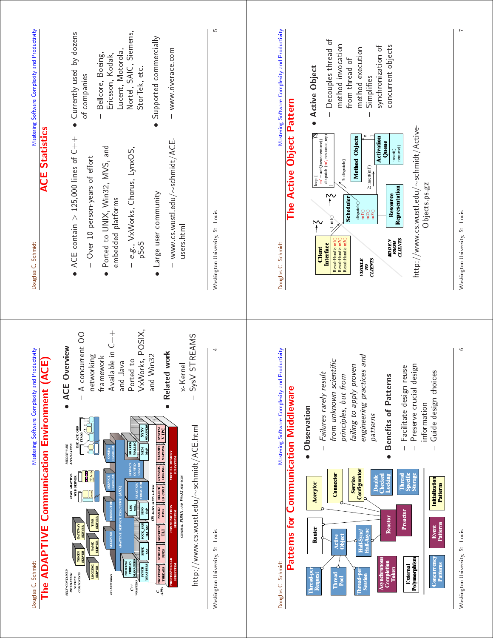

Washington University, St. Louis 6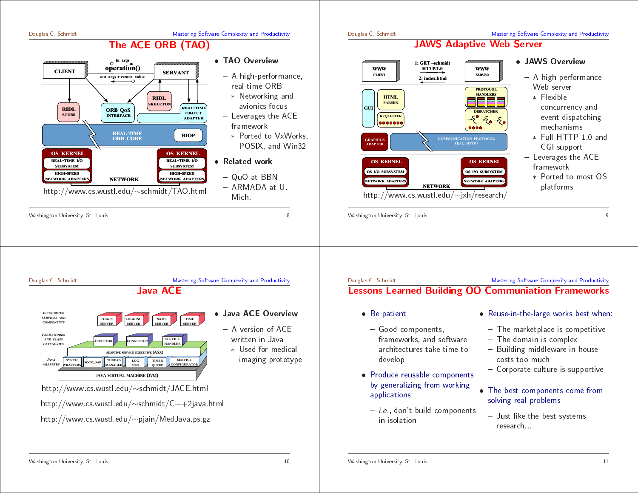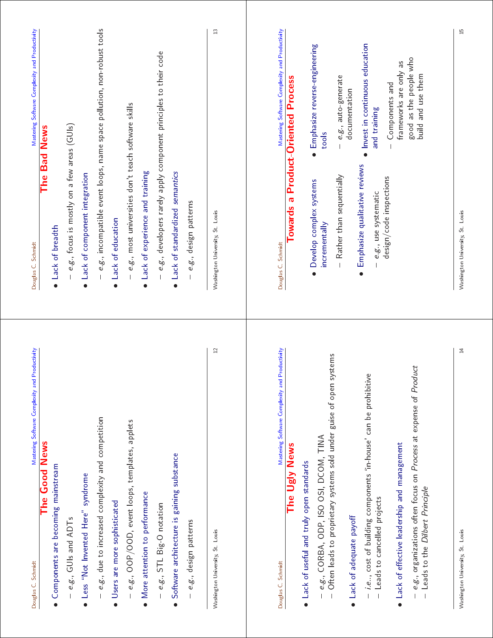| Mastering Software Complexity and Productivity                                                  |
|-------------------------------------------------------------------------------------------------|
| The Bad News                                                                                    |
| Lack of breadth                                                                                 |
| e.g., focus is mostly on a few areas (GUIs)                                                     |
| Lack of component integration                                                                   |
| e.g., incompatible event loops, name space pollution, non-robust tools                          |
| · Lack of education                                                                             |
| e.g., most universities don't teach software skills                                             |
| • Lack of experience and training                                                               |
| e.g., developers rarely apply component principles to their code                                |
| • Lack of standardized semantics                                                                |
| e.g., design patterns                                                                           |
| Washington University, St Louis                                                                 |
| Mastering Software Complexity and Productivity                                                  |
|                                                                                                 |
| <b>Towards a Product-Oriented Process</b>                                                       |
|                                                                                                 |
| Emphasize reverse-engineering<br>tools<br>$\bullet$<br>Develop complex systems<br>incrementally |
|                                                                                                 |
| $-e.g.,$ auto-generate<br>documentation<br>- Rather than sequentially                           |
| Emphasize qualitative reviews                                                                   |
| · Invest in continuous education<br>and training<br>e.g., use systematic                        |
| Components and<br>design/code inspections                                                       |
| frameworks are only as                                                                          |
| good as the people who<br>build and use them                                                    |
|                                                                                                 |
| Washington University, St Louis                                                                 |
|                                                                                                 |
|                                                                                                 |
|                                                                                                 |